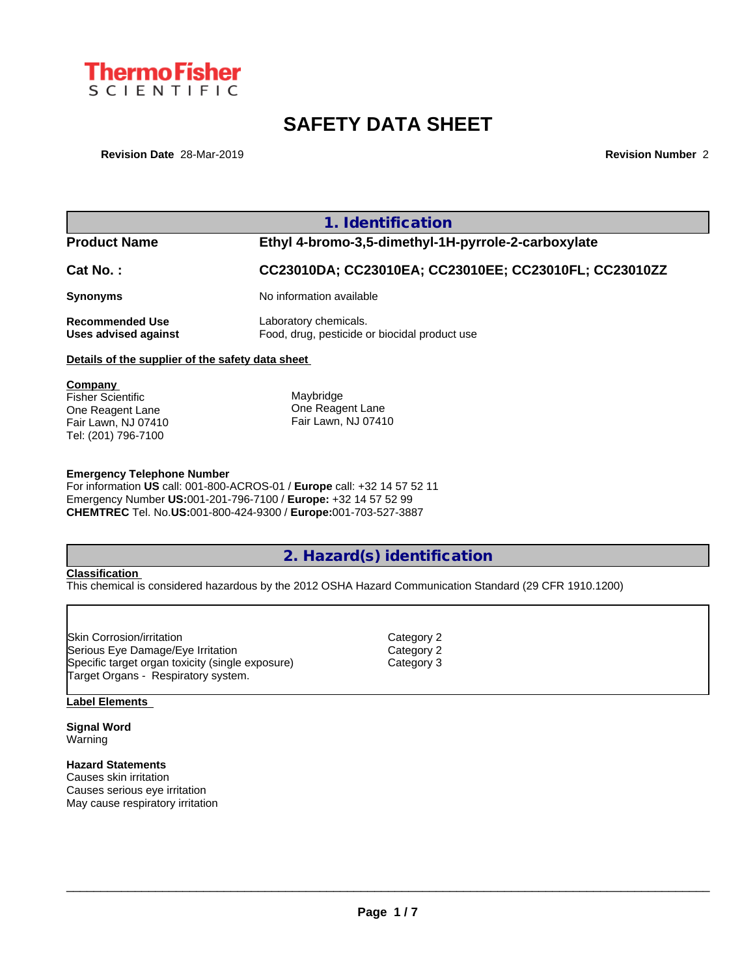

# **SAFETY DATA SHEET**

**Revision Date** 28-Mar-2019 **Revision Number** 2

**1. Identification Product Name Ethyl 4-bromo-3,5-dimethyl-1H-pyrrole-2-carboxylate Cat No. : CC23010DA; CC23010EA; CC23010EE; CC23010FL; CC23010ZZ Synonyms** No information available **Recommended Use** Laboratory chemicals. **Uses advised against** Food, drug, pesticide or biocidal product use **Details of the supplier of the safety data sheet Company**  Fisher Scientific One Reagent Lane Fair Lawn, NJ 07410 Tel: (201) 796-7100 Maybridge One Reagent Lane Fair Lawn, NJ 07410

#### **Emergency Telephone Number**

For information **US** call: 001-800-ACROS-01 / **Europe** call: +32 14 57 52 11 Emergency Number **US:**001-201-796-7100 / **Europe:** +32 14 57 52 99 **CHEMTREC** Tel. No.**US:**001-800-424-9300 / **Europe:**001-703-527-3887

### **2. Hazard(s) identification**

### **Classification**

This chemical is considered hazardous by the 2012 OSHA Hazard Communication Standard (29 CFR 1910.1200)

| <b>ISkin Corrosion/irritation</b>                | Category 2 |  |
|--------------------------------------------------|------------|--|
| Serious Eye Damage/Eye Irritation                | Category 2 |  |
| Specific target organ toxicity (single exposure) | Category 3 |  |
| Target Organs - Respiratory system.              |            |  |

#### **Label Elements**

**Signal Word** Warning

### **Hazard Statements**

Causes skin irritation Causes serious eye irritation May cause respiratory irritation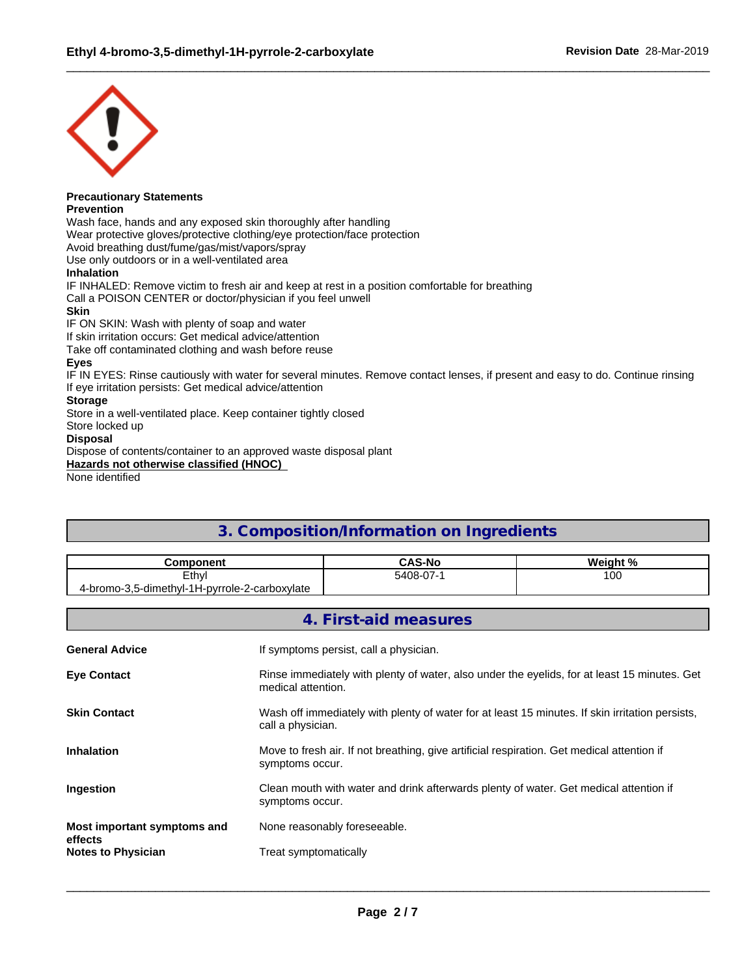

## **Precautionary Statements**

**Prevention**

Wash face, hands and any exposed skin thoroughly after handling Wear protective gloves/protective clothing/eye protection/face protection Avoid breathing dust/fume/gas/mist/vapors/spray Use only outdoors or in a well-ventilated area **Inhalation** IF INHALED: Remove victim to fresh air and keep at rest in a position comfortable for breathing Call a POISON CENTER or doctor/physician if you feel unwell **Skin** IF ON SKIN: Wash with plenty of soap and water If skin irritation occurs: Get medical advice/attention Take off contaminated clothing and wash before reuse **Eyes** IF IN EYES: Rinse cautiously with water for several minutes. Remove contact lenses, if present and easy to do. Continue rinsing If eye irritation persists: Get medical advice/attention **Storage** Store in a well-ventilated place. Keep container tightly closed

Store locked up

### **Disposal**

Dispose of contents/container to an approved waste disposal plant **Hazards not otherwise classified (HNOC)**

None identified

### **3. Composition/Information on Ingredients**

| Component                                     | <b>CAS-No</b> | Weight % |
|-----------------------------------------------|---------------|----------|
| Ethyl                                         | 5408-07-1     | 100      |
| vl-1H-pvrrole-2-carboxylate '<br>5-dimethvl-1 |               |          |

|                                      | 4. First-aid measures                                                                                                |
|--------------------------------------|----------------------------------------------------------------------------------------------------------------------|
| <b>General Advice</b>                | If symptoms persist, call a physician.                                                                               |
| <b>Eye Contact</b>                   | Rinse immediately with plenty of water, also under the eyelids, for at least 15 minutes. Get<br>medical attention.   |
| <b>Skin Contact</b>                  | Wash off immediately with plenty of water for at least 15 minutes. If skin irritation persists,<br>call a physician. |
| <b>Inhalation</b>                    | Move to fresh air. If not breathing, give artificial respiration. Get medical attention if<br>symptoms occur.        |
| Ingestion                            | Clean mouth with water and drink afterwards plenty of water. Get medical attention if<br>symptoms occur.             |
| Most important symptoms and          | None reasonably foreseeable.                                                                                         |
| effects<br><b>Notes to Physician</b> | Treat symptomatically                                                                                                |
|                                      |                                                                                                                      |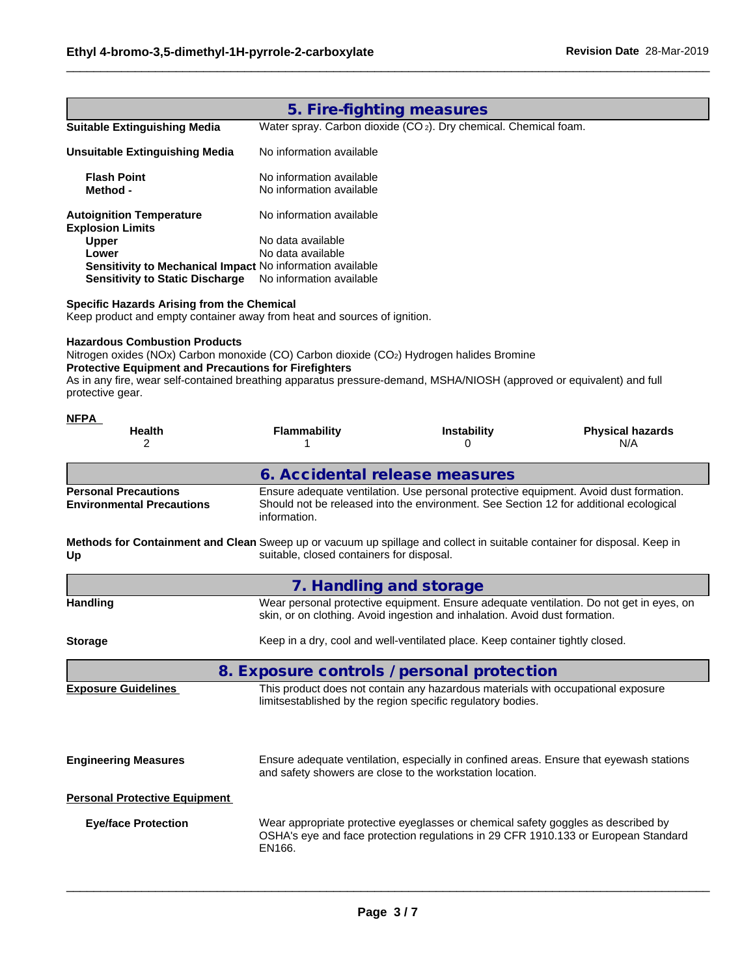|                                                                                                                                                                                                                                                                                                                                               | 5. Fire-fighting measures                            |                                                                                                                                                                                |                                |  |  |  |
|-----------------------------------------------------------------------------------------------------------------------------------------------------------------------------------------------------------------------------------------------------------------------------------------------------------------------------------------------|------------------------------------------------------|--------------------------------------------------------------------------------------------------------------------------------------------------------------------------------|--------------------------------|--|--|--|
| <b>Suitable Extinguishing Media</b>                                                                                                                                                                                                                                                                                                           |                                                      | Water spray. Carbon dioxide (CO <sub>2</sub> ). Dry chemical. Chemical foam.                                                                                                   |                                |  |  |  |
| No information available<br><b>Unsuitable Extinguishing Media</b>                                                                                                                                                                                                                                                                             |                                                      |                                                                                                                                                                                |                                |  |  |  |
| <b>Flash Point</b><br>Method -                                                                                                                                                                                                                                                                                                                | No information available<br>No information available |                                                                                                                                                                                |                                |  |  |  |
| <b>Autoignition Temperature</b><br><b>Explosion Limits</b>                                                                                                                                                                                                                                                                                    | No information available                             |                                                                                                                                                                                |                                |  |  |  |
| <b>Upper</b>                                                                                                                                                                                                                                                                                                                                  | No data available                                    |                                                                                                                                                                                |                                |  |  |  |
| Lower<br>Sensitivity to Mechanical Impact No information available                                                                                                                                                                                                                                                                            | No data available                                    |                                                                                                                                                                                |                                |  |  |  |
| <b>Sensitivity to Static Discharge</b>                                                                                                                                                                                                                                                                                                        | No information available                             |                                                                                                                                                                                |                                |  |  |  |
| <b>Specific Hazards Arising from the Chemical</b><br>Keep product and empty container away from heat and sources of ignition.                                                                                                                                                                                                                 |                                                      |                                                                                                                                                                                |                                |  |  |  |
| <b>Hazardous Combustion Products</b><br>Nitrogen oxides (NOx) Carbon monoxide (CO) Carbon dioxide (CO2) Hydrogen halides Bromine<br><b>Protective Equipment and Precautions for Firefighters</b><br>As in any fire, wear self-contained breathing apparatus pressure-demand, MSHA/NIOSH (approved or equivalent) and full<br>protective gear. |                                                      |                                                                                                                                                                                |                                |  |  |  |
| <u>NFPA</u><br>Health<br>2                                                                                                                                                                                                                                                                                                                    | <b>Flammability</b><br>1                             | <b>Instability</b><br>0                                                                                                                                                        | <b>Physical hazards</b><br>N/A |  |  |  |
|                                                                                                                                                                                                                                                                                                                                               | 6. Accidental release measures                       |                                                                                                                                                                                |                                |  |  |  |
| <b>Personal Precautions</b><br><b>Environmental Precautions</b>                                                                                                                                                                                                                                                                               | information.                                         | Ensure adequate ventilation. Use personal protective equipment. Avoid dust formation.<br>Should not be released into the environment. See Section 12 for additional ecological |                                |  |  |  |
| Methods for Containment and Clean Sweep up or vacuum up spillage and collect in suitable container for disposal. Keep in<br>Up                                                                                                                                                                                                                | suitable, closed containers for disposal.            |                                                                                                                                                                                |                                |  |  |  |
|                                                                                                                                                                                                                                                                                                                                               |                                                      |                                                                                                                                                                                |                                |  |  |  |
|                                                                                                                                                                                                                                                                                                                                               | 7. Handling and storage                              |                                                                                                                                                                                |                                |  |  |  |
| <b>Handling</b>                                                                                                                                                                                                                                                                                                                               |                                                      | Wear personal protective equipment. Ensure adequate ventilation. Do not get in eyes, on<br>skin, or on clothing. Avoid ingestion and inhalation. Avoid dust formation.         |                                |  |  |  |
| <b>Storage</b>                                                                                                                                                                                                                                                                                                                                |                                                      | Keep in a dry, cool and well-ventilated place. Keep container tightly closed.                                                                                                  |                                |  |  |  |
|                                                                                                                                                                                                                                                                                                                                               |                                                      | 8. Exposure controls / personal protection                                                                                                                                     |                                |  |  |  |
| <b>Exposure Guidelines</b>                                                                                                                                                                                                                                                                                                                    |                                                      | This product does not contain any hazardous materials with occupational exposure<br>limitsestablished by the region specific regulatory bodies.                                |                                |  |  |  |
| <b>Engineering Measures</b>                                                                                                                                                                                                                                                                                                                   |                                                      | Ensure adequate ventilation, especially in confined areas. Ensure that eyewash stations<br>and safety showers are close to the workstation location.                           |                                |  |  |  |
| <b>Personal Protective Equipment</b>                                                                                                                                                                                                                                                                                                          |                                                      |                                                                                                                                                                                |                                |  |  |  |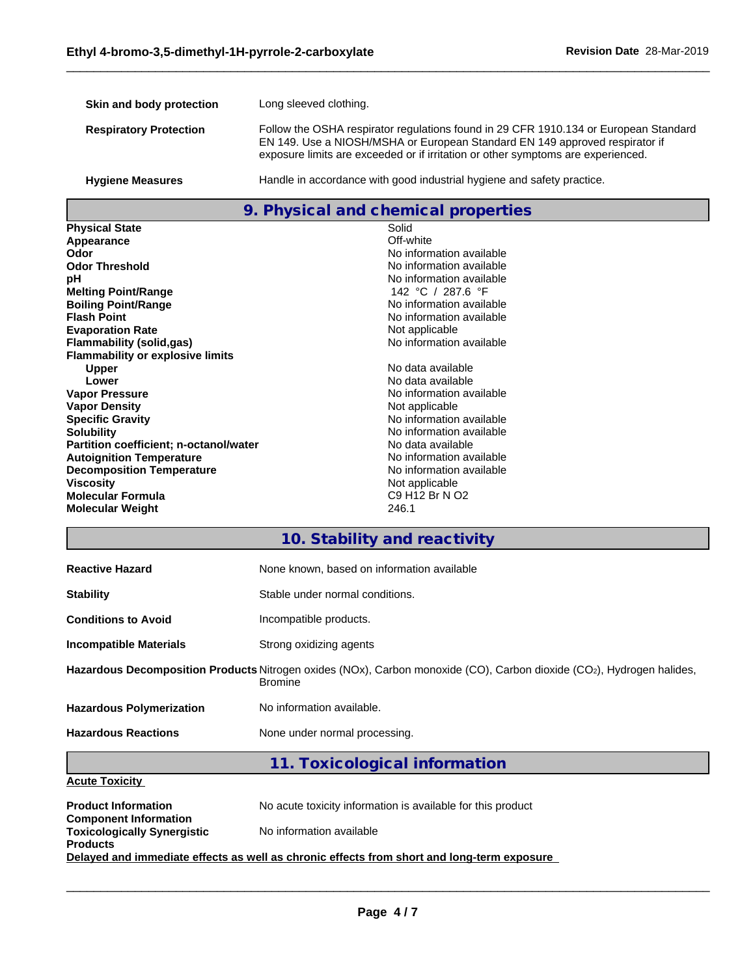| Skin and body protection      | Long sleeved clothing.                                                                                                                                                                                                                                  |
|-------------------------------|---------------------------------------------------------------------------------------------------------------------------------------------------------------------------------------------------------------------------------------------------------|
| <b>Respiratory Protection</b> | Follow the OSHA respirator regulations found in 29 CFR 1910.134 or European Standard<br>EN 149. Use a NIOSH/MSHA or European Standard EN 149 approved respirator if<br>exposure limits are exceeded or if irritation or other symptoms are experienced. |
| <b>Hygiene Measures</b>       | Handle in accordance with good industrial hygiene and safety practice.                                                                                                                                                                                  |

### **9. Physical and chemical properties**

| <b>Physical State</b>                         | Solid                    |
|-----------------------------------------------|--------------------------|
| Appearance                                    | Off-white                |
| Odor                                          | No information available |
| <b>Odor Threshold</b>                         | No information available |
| рH                                            | No information available |
| <b>Melting Point/Range</b>                    | 142 °C / 287.6 °F        |
| <b>Boiling Point/Range</b>                    | No information available |
| <b>Flash Point</b>                            | No information available |
| <b>Evaporation Rate</b>                       | Not applicable           |
| Flammability (solid,gas)                      | No information available |
| <b>Flammability or explosive limits</b>       |                          |
| <b>Upper</b>                                  | No data available        |
| Lower                                         | No data available        |
| <b>Vapor Pressure</b>                         | No information available |
| <b>Vapor Density</b>                          | Not applicable           |
| <b>Specific Gravity</b>                       | No information available |
| <b>Solubility</b>                             | No information available |
| <b>Partition coefficient; n-octanol/water</b> | No data available        |
| <b>Autoignition Temperature</b>               | No information available |
| <b>Decomposition Temperature</b>              | No information available |
| <b>Viscosity</b>                              | Not applicable           |
| <b>Molecular Formula</b>                      | C9 H12 Br N O2           |
| <b>Molecular Weight</b>                       | 246.1                    |

### **10. Stability and reactivity**

| <b>Reactive Hazard</b>                                                                                                                  | None known, based on information available |  |  |  |
|-----------------------------------------------------------------------------------------------------------------------------------------|--------------------------------------------|--|--|--|
| <b>Stability</b>                                                                                                                        | Stable under normal conditions.            |  |  |  |
| <b>Conditions to Avoid</b>                                                                                                              | Incompatible products.                     |  |  |  |
| <b>Incompatible Materials</b>                                                                                                           | Strong oxidizing agents                    |  |  |  |
| Hazardous Decomposition Products Nitrogen oxides (NOx), Carbon monoxide (CO), Carbon dioxide (CO2), Hydrogen halides,<br><b>Bromine</b> |                                            |  |  |  |
| <b>Hazardous Polymerization</b>                                                                                                         | No information available.                  |  |  |  |
| <b>Hazardous Reactions</b>                                                                                                              | None under normal processing.              |  |  |  |
|                                                                                                                                         |                                            |  |  |  |

### **11. Toxicological information**

### **Acute Toxicity**

| <b>Product Information</b>                                         | No acute toxicity information is available for this product                                |
|--------------------------------------------------------------------|--------------------------------------------------------------------------------------------|
| <b>Component Information</b><br><b>Toxicologically Synergistic</b> | No information available                                                                   |
| <b>Products</b>                                                    |                                                                                            |
|                                                                    | Delayed and immediate effects as well as chronic effects from short and long-term exposure |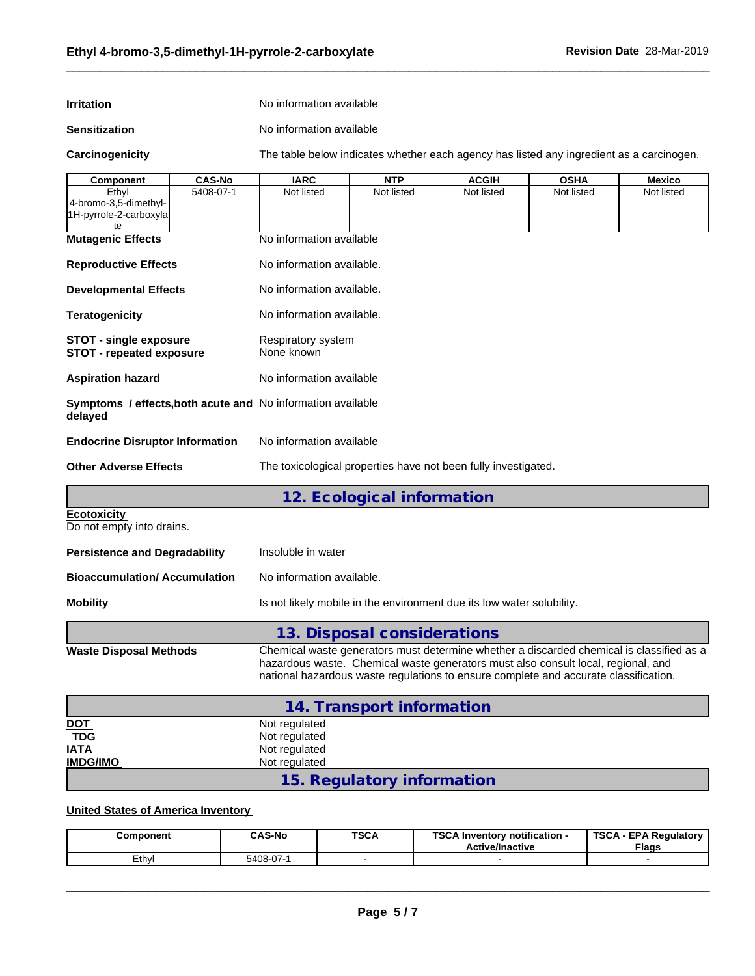| <b>Irritation</b> | No information available |
|-------------------|--------------------------|
|                   |                          |

**Sensitization** No information available

**Carcinogenicity** The table below indicateswhether each agency has listed any ingredient as a carcinogen.

| Component                                                              | <b>CAS-No</b> | <b>IARC</b>                                                                                                                                                                                                                                                           | <b>NTP</b>                  | <b>ACGIH</b> | <b>OSHA</b> | Mexico     |  |  |
|------------------------------------------------------------------------|---------------|-----------------------------------------------------------------------------------------------------------------------------------------------------------------------------------------------------------------------------------------------------------------------|-----------------------------|--------------|-------------|------------|--|--|
| Ethyl<br>4-bromo-3,5-dimethyl-<br>1H-pyrrole-2-carboxyla               | 5408-07-1     | Not listed                                                                                                                                                                                                                                                            | Not listed                  | Not listed   | Not listed  | Not listed |  |  |
| te.                                                                    |               |                                                                                                                                                                                                                                                                       |                             |              |             |            |  |  |
| <b>Mutagenic Effects</b>                                               |               | No information available                                                                                                                                                                                                                                              |                             |              |             |            |  |  |
| <b>Reproductive Effects</b>                                            |               | No information available.                                                                                                                                                                                                                                             |                             |              |             |            |  |  |
| <b>Developmental Effects</b>                                           |               | No information available.                                                                                                                                                                                                                                             |                             |              |             |            |  |  |
| <b>Teratogenicity</b>                                                  |               | No information available.                                                                                                                                                                                                                                             |                             |              |             |            |  |  |
| <b>STOT - single exposure</b><br><b>STOT - repeated exposure</b>       |               | Respiratory system<br>None known                                                                                                                                                                                                                                      |                             |              |             |            |  |  |
| <b>Aspiration hazard</b>                                               |               | No information available                                                                                                                                                                                                                                              |                             |              |             |            |  |  |
| Symptoms / effects, both acute and No information available<br>delayed |               |                                                                                                                                                                                                                                                                       |                             |              |             |            |  |  |
| <b>Endocrine Disruptor Information</b>                                 |               | No information available                                                                                                                                                                                                                                              |                             |              |             |            |  |  |
| <b>Other Adverse Effects</b>                                           |               | The toxicological properties have not been fully investigated.                                                                                                                                                                                                        |                             |              |             |            |  |  |
|                                                                        |               |                                                                                                                                                                                                                                                                       | 12. Ecological information  |              |             |            |  |  |
| <b>Ecotoxicity</b><br>Do not empty into drains.                        |               |                                                                                                                                                                                                                                                                       |                             |              |             |            |  |  |
| <b>Persistence and Degradability</b>                                   |               | Insoluble in water                                                                                                                                                                                                                                                    |                             |              |             |            |  |  |
| <b>Bioaccumulation/Accumulation</b>                                    |               | No information available.                                                                                                                                                                                                                                             |                             |              |             |            |  |  |
| <b>Mobility</b>                                                        |               | Is not likely mobile in the environment due its low water solubility.                                                                                                                                                                                                 |                             |              |             |            |  |  |
|                                                                        |               |                                                                                                                                                                                                                                                                       | 13. Disposal considerations |              |             |            |  |  |
| <b>Waste Disposal Methods</b>                                          |               | Chemical waste generators must determine whether a discarded chemical is classified as a<br>hazardous waste. Chemical waste generators must also consult local, regional, and<br>national hazardous waste regulations to ensure complete and accurate classification. |                             |              |             |            |  |  |
|                                                                        |               |                                                                                                                                                                                                                                                                       | 14. Transport information   |              |             |            |  |  |
| <b>DOT</b>                                                             |               | Not regulated                                                                                                                                                                                                                                                         |                             |              |             |            |  |  |
| <b>TDG</b>                                                             |               | Not regulated                                                                                                                                                                                                                                                         |                             |              |             |            |  |  |
| <b>IATA</b>                                                            |               | Not regulated                                                                                                                                                                                                                                                         |                             |              |             |            |  |  |
| <b>IMDG/IMO</b>                                                        |               | Not regulated                                                                                                                                                                                                                                                         | 15. Regulatory information  |              |             |            |  |  |
|                                                                        |               |                                                                                                                                                                                                                                                                       |                             |              |             |            |  |  |

### **United States of America Inventory**

| Component | <b>CAS-No</b> | <b>TSCA</b> | TOO ALL<br><br>\ Inventorv notification -<br><b>Active/Inactive</b> | <b>TSCA</b><br><b>EPA Regulatory</b><br><b>Flags</b> |
|-----------|---------------|-------------|---------------------------------------------------------------------|------------------------------------------------------|
| ∟cthv     | 5408-07-      |             |                                                                     |                                                      |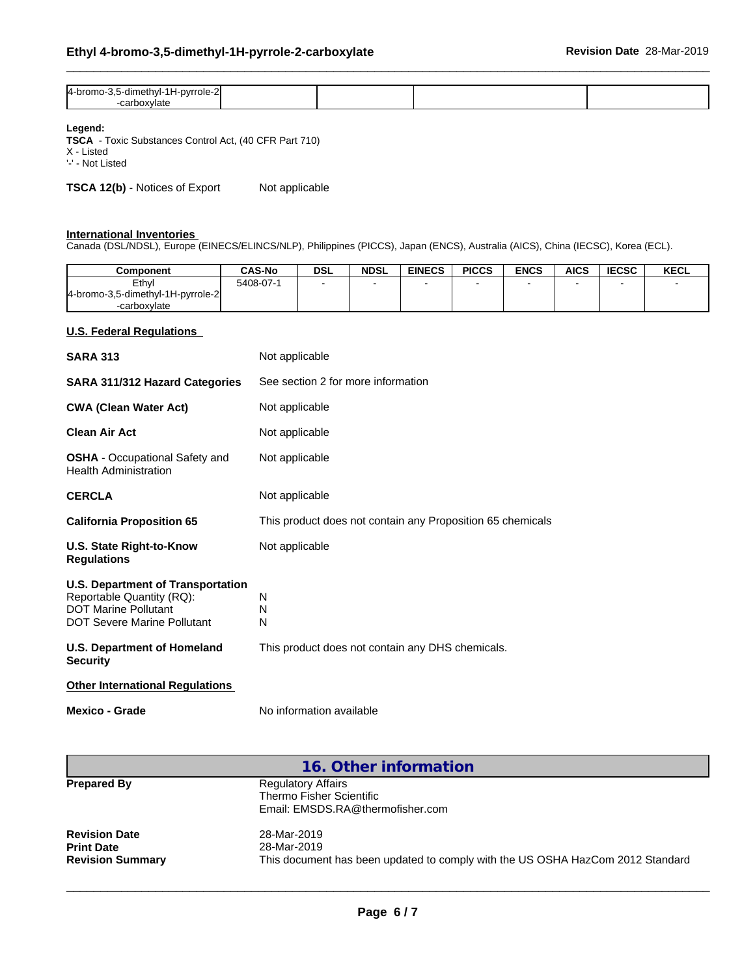| 4-bromo-3,5-dimethyl-1H-pyrrole-2 |  |  |
|-----------------------------------|--|--|
| oxvlate                           |  |  |

#### **Legend:**

**TSCA** - Toxic Substances Control Act, (40 CFR Part 710) X - Listed

'-' - Not Listed

**TSCA 12(b)** - Notices of Export Not applicable

#### **International Inventories**

Canada (DSL/NDSL), Europe (EINECS/ELINCS/NLP), Philippines (PICCS), Japan (ENCS), Australia (AICS), China (IECSC), Korea (ECL).

| Component                         | <b>CAS-No</b> | <b>DSL</b> | <b>NDSL</b> | <b>EINECS</b> | <b>PICCS</b> | <b>ENCS</b> | <b>AICS</b> | <b>IECSC</b> | <b>KECL</b> |
|-----------------------------------|---------------|------------|-------------|---------------|--------------|-------------|-------------|--------------|-------------|
| Ethyl                             | 5408-07-1     |            |             |               |              |             |             |              |             |
| 4-bromo-3,5-dimethyl-1H-pyrrole-2 |               |            |             |               |              |             |             |              |             |
| -carboxvlate                      |               |            |             |               |              |             |             |              |             |

#### **U.S. Federal Regulations**

| <b>SARA 313</b>                                                                                                                            | Not applicable                                             |  |  |  |
|--------------------------------------------------------------------------------------------------------------------------------------------|------------------------------------------------------------|--|--|--|
| SARA 311/312 Hazard Categories                                                                                                             | See section 2 for more information                         |  |  |  |
| <b>CWA (Clean Water Act)</b>                                                                                                               | Not applicable                                             |  |  |  |
| <b>Clean Air Act</b>                                                                                                                       | Not applicable                                             |  |  |  |
| <b>OSHA</b> - Occupational Safety and<br><b>Health Administration</b>                                                                      | Not applicable                                             |  |  |  |
| <b>CERCLA</b>                                                                                                                              | Not applicable                                             |  |  |  |
| <b>California Proposition 65</b>                                                                                                           | This product does not contain any Proposition 65 chemicals |  |  |  |
| U.S. State Right-to-Know<br><b>Regulations</b>                                                                                             | Not applicable                                             |  |  |  |
| <b>U.S. Department of Transportation</b><br>Reportable Quantity (RQ):<br><b>DOT Marine Pollutant</b><br><b>DOT Severe Marine Pollutant</b> | N<br>N<br>N                                                |  |  |  |
| U.S. Department of Homeland<br><b>Security</b>                                                                                             | This product does not contain any DHS chemicals.           |  |  |  |
| <b>Other International Regulations</b>                                                                                                     |                                                            |  |  |  |
| <b>Mexico - Grade</b>                                                                                                                      | No information available                                   |  |  |  |

|                         | 16. Other information                                                          |  |  |  |
|-------------------------|--------------------------------------------------------------------------------|--|--|--|
| <b>Prepared By</b>      | <b>Regulatory Affairs</b>                                                      |  |  |  |
|                         | Thermo Fisher Scientific                                                       |  |  |  |
|                         | Email: EMSDS.RA@thermofisher.com                                               |  |  |  |
| <b>Revision Date</b>    | 28-Mar-2019                                                                    |  |  |  |
| <b>Print Date</b>       | 28-Mar-2019                                                                    |  |  |  |
| <b>Revision Summary</b> | This document has been updated to comply with the US OSHA HazCom 2012 Standard |  |  |  |
|                         |                                                                                |  |  |  |